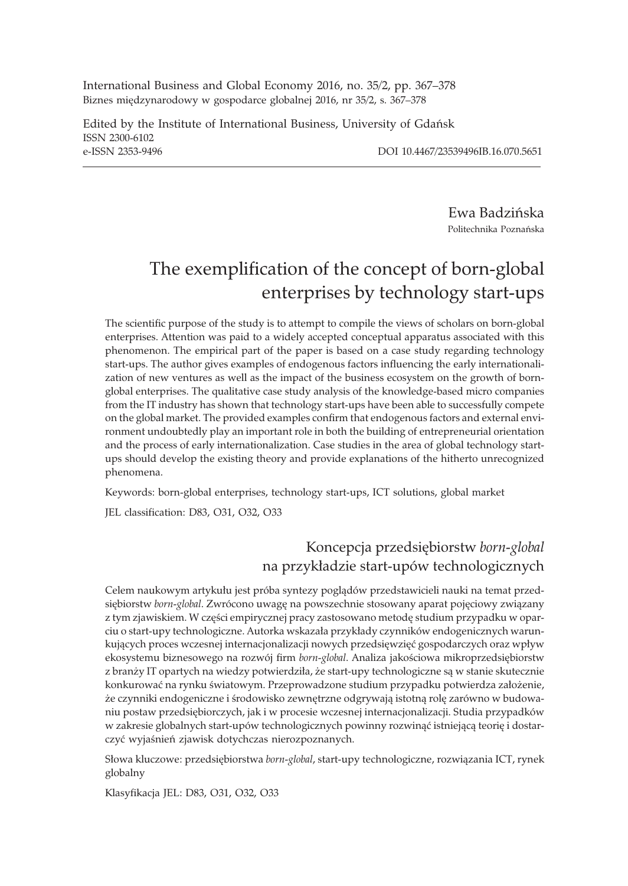International Business and Global Economy 2016, no. 35/2, pp. 367–378 Biznes międzynarodowy w gospodarce globalnej 2016, nr 35/2, s. 367-378

Edited by the Institute of International Business, University of Gdañsk ISSN 2300-6102 e-ISSN 2353-9496 DOI 10.4467/23539496IB.16.070.5651

Ewa Badziñska Politechnika Poznañska

# The exemplification of the concept of born-global enterprises by technology start-ups

The scientific purpose of the study is to attempt to compile the views of scholars on born-global enterprises. Attention was paid to a widely accepted conceptual apparatus associated with this phenomenon. The empirical part of the paper is based on a case study regarding technology start-ups. The author gives examples of endogenous factors influencing the early internationalization of new ventures as well as the impact of the business ecosystem on the growth of bornglobal enterprises. The qualitative case study analysis of the knowledge-based micro companies from the IT industry has shown that technology start-ups have been able to successfully compete on the global market. The provided examples confirm that endogenous factors and external environment undoubtedly play an important role in both the building of entrepreneurial orientation and the process of early internationalization. Case studies in the area of global technology startups should develop the existing theory and provide explanations of the hitherto unrecognized phenomena.

Keywords: born-global enterprises, technology start-ups, ICT solutions, global market

JEL classification: D83, O31, O32, O33

### Koncepcja przedsiêbiorstw *born-global* na przykładzie start-upów technologicznych

Celem naukowym artykułu jest próba syntezy poglądów przedstawicieli nauki na temat przedsiębiorstw born-global. Zwrócono uwagę na powszechnie stosowany aparat pojęciowy związany z tym zjawiskiem. W części empirycznej pracy zastosowano metodę studium przypadku w oparciu o start-upy technologiczne. Autorka wskazała przykłady czynników endogenicznych warunkujących proces wczesnej internacjonalizacji nowych przedsięwzięć gospodarczych oraz wpływ ekosystemu biznesowego na rozwój firm *born-global*. Analiza jakościowa mikroprzedsiębiorstw z branży IT opartych na wiedzy potwierdziła, że start-upy technologiczne są w stanie skutecznie konkurować na rynku światowym. Przeprowadzone studium przypadku potwierdza założenie, że czynniki endogeniczne i środowisko zewnętrzne odgrywają istotną rolę zarówno w budowaniu postaw przedsiêbiorczych, jak i w procesie wczesnej internacjonalizacji. Studia przypadków w zakresie globalnych start-upów technologicznych powinny rozwinąć istniejącą teorię i dostarczyć wyjaśnień zjawisk dotychczas nierozpoznanych.

Słowa kluczowe: przedsiębiorstwa born-global, start-upy technologiczne, rozwiązania ICT, rynek globalny

Klasyfikacja JEL: D83, O31, O32, O33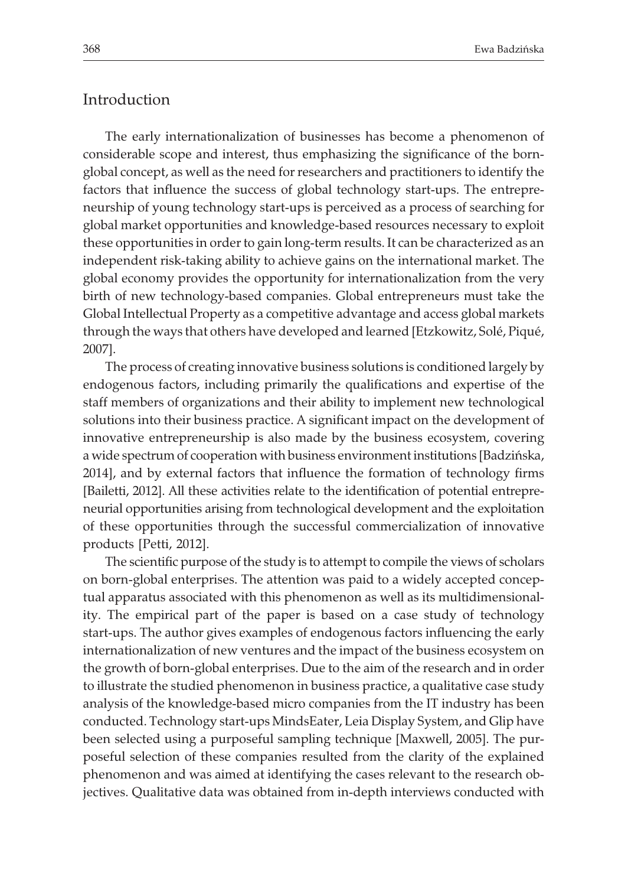### Introduction

The early internationalization of businesses has become a phenomenon of considerable scope and interest, thus emphasizing the significance of the bornglobal concept, as well as the need for researchers and practitioners to identify the factors that influence the success of global technology start-ups. The entrepreneurship of young technology start-ups is perceived as a process of searching for global market opportunities and knowledge-based resources necessary to exploit these opportunities in order to gain long-term results. It can be characterized as an independent risk-taking ability to achieve gains on the international market. The global economy provides the opportunity for internationalization from the very birth of new technology-based companies. Global entrepreneurs must take the Global Intellectual Property as a competitive advantage and access global markets through the ways that others have developed and learned [Etzkowitz, Solé, Piqué, 2007].

The process of creating innovative business solutions is conditioned largely by endogenous factors, including primarily the qualifications and expertise of the staff members of organizations and their ability to implement new technological solutions into their business practice. A significant impact on the development of innovative entrepreneurship is also made by the business ecosystem, covering a wide spectrum of cooperation with business environment institutions [Badziñska, 2014], and by external factors that influence the formation of technology firms [Bailetti, 2012]. All these activities relate to the identification of potential entrepreneurial opportunities arising from technological development and the exploitation of these opportunities through the successful commercialization of innovative products [Petti, 2012].

The scientific purpose of the study is to attempt to compile the views of scholars on born-global enterprises. The attention was paid to a widely accepted conceptual apparatus associated with this phenomenon as well as its multidimensionality. The empirical part of the paper is based on a case study of technology start-ups. The author gives examples of endogenous factors influencing the early internationalization of new ventures and the impact of the business ecosystem on the growth of born-global enterprises. Due to the aim of the research and in order to illustrate the studied phenomenon in business practice, a qualitative case study analysis of the knowledge-based micro companies from the IT industry has been conducted. Technology start-ups MindsEater, Leia Display System, and Glip have been selected using a purposeful sampling technique [Maxwell, 2005]. The purposeful selection of these companies resulted from the clarity of the explained phenomenon and was aimed at identifying the cases relevant to the research objectives. Qualitative data was obtained from in-depth interviews conducted with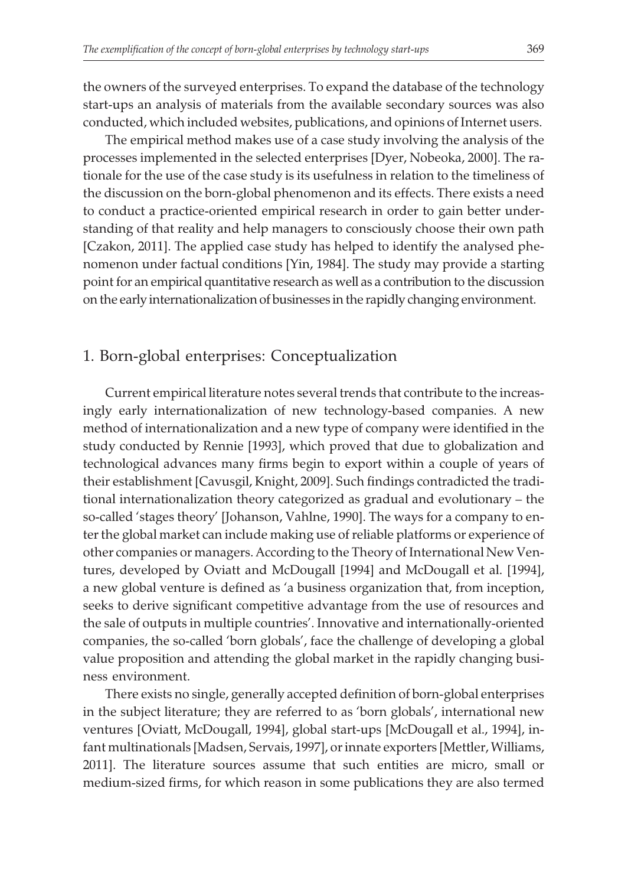the owners of the surveyed enterprises. To expand the database of the technology start-ups an analysis of materials from the available secondary sources was also conducted, which included websites, publications, and opinions of Internet users.

The empirical method makes use of a case study involving the analysis of the processes implemented in the selected enterprises [Dyer, Nobeoka, 2000]. The rationale for the use of the case study is its usefulness in relation to the timeliness of the discussion on the born-global phenomenon and its effects. There exists a need to conduct a practice-oriented empirical research in order to gain better understanding of that reality and help managers to consciously choose their own path [Czakon, 2011]. The applied case study has helped to identify the analysed phenomenon under factual conditions [Yin, 1984]. The study may provide a starting point for an empirical quantitative research as well as a contribution to the discussion on the early internationalization of businesses in the rapidly changing environment.

### 1. Born-global enterprises: Conceptualization

Current empirical literature notes several trends that contribute to the increasingly early internationalization of new technology-based companies. A new method of internationalization and a new type of company were identified in the study conducted by Rennie [1993], which proved that due to globalization and technological advances many firms begin to export within a couple of years of their establishment [Cavusgil, Knight, 2009]. Such findings contradicted the traditional internationalization theory categorized as gradual and evolutionary – the so-called 'stages theory' [Johanson, Vahlne, 1990]. The ways for a company to enter the global market can include making use of reliable platforms or experience of other companies or managers. According to the Theory of International New Ventures, developed by Oviatt and McDougall [1994] and McDougall et al. [1994], a new global venture is defined as 'a business organization that, from inception, seeks to derive significant competitive advantage from the use of resources and the sale of outputs in multiple countries'. Innovative and internationally-oriented companies, the so-called 'born globals', face the challenge of developing a global value proposition and attending the global market in the rapidly changing business environment.

There exists no single, generally accepted definition of born-global enterprises in the subject literature; they are referred to as 'born globals', international new ventures [Oviatt, McDougall, 1994], global start-ups [McDougall et al., 1994], infant multinationals [Madsen, Servais, 1997], or innate exporters [Mettler, Williams, 2011]. The literature sources assume that such entities are micro, small or medium-sized firms, for which reason in some publications they are also termed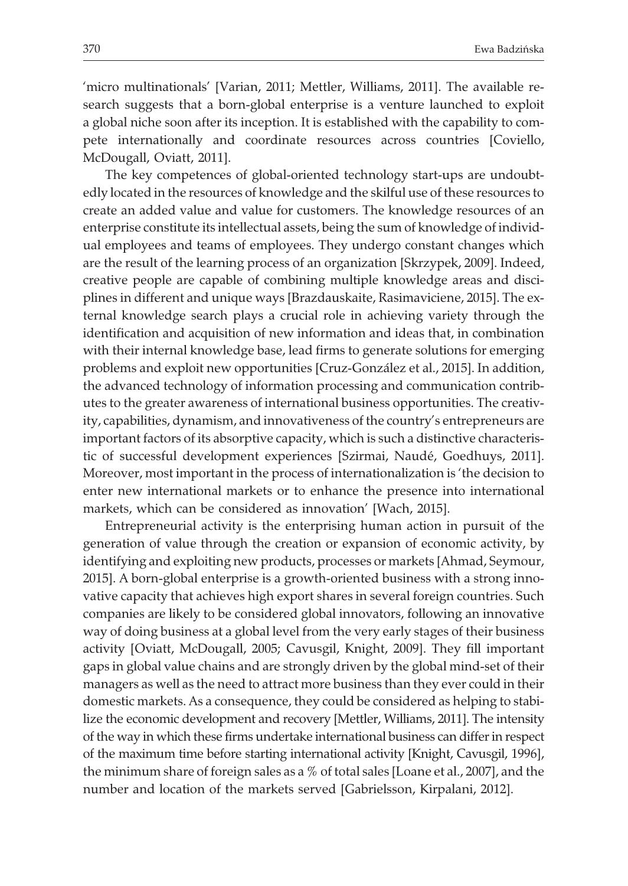'micro multinationals' [Varian, 2011; Mettler, Williams, 2011]. The available research suggests that a born-global enterprise is a venture launched to exploit a global niche soon after its inception. It is established with the capability to compete internationally and coordinate resources across countries [Coviello, McDougall, Oviatt, 2011].

The key competences of global-oriented technology start-ups are undoubtedly located in the resources of knowledge and the skilful use of these resources to create an added value and value for customers. The knowledge resources of an enterprise constitute its intellectual assets, being the sum of knowledge of individual employees and teams of employees. They undergo constant changes which are the result of the learning process of an organization [Skrzypek, 2009]. Indeed, creative people are capable of combining multiple knowledge areas and disciplines in different and unique ways [Brazdauskaite, Rasimaviciene, 2015]. The external knowledge search plays a crucial role in achieving variety through the identification and acquisition of new information and ideas that, in combination with their internal knowledge base, lead firms to generate solutions for emerging problems and exploit new opportunities [Cruz-González et al., 2015]. In addition, the advanced technology of information processing and communication contributes to the greater awareness of international business opportunities. The creativity, capabilities, dynamism, and innovativeness of the country's entrepreneurs are important factors of its absorptive capacity, which is such a distinctive characteristic of successful development experiences [Szirmai, Naudé, Goedhuys, 2011]. Moreover, most important in the process of internationalization is 'the decision to enter new international markets or to enhance the presence into international markets, which can be considered as innovation' [Wach, 2015].

Entrepreneurial activity is the enterprising human action in pursuit of the generation of value through the creation or expansion of economic activity, by identifying and exploiting new products, processes or markets [Ahmad, Seymour, 2015]. A born-global enterprise is a growth-oriented business with a strong innovative capacity that achieves high export shares in several foreign countries. Such companies are likely to be considered global innovators, following an innovative way of doing business at a global level from the very early stages of their business activity [Oviatt, McDougall, 2005; Cavusgil, Knight, 2009]. They fill important gaps in global value chains and are strongly driven by the global mind-set of their managers as well as the need to attract more business than they ever could in their domestic markets. As a consequence, they could be considered as helping to stabilize the economic development and recovery [Mettler, Williams, 2011]. The intensity of the way in which these firms undertake international business can differ in respect of the maximum time before starting international activity [Knight, Cavusgil, 1996], the minimum share of foreign sales as a % of total sales [Loane et al., 2007], and the number and location of the markets served [Gabrielsson, Kirpalani, 2012].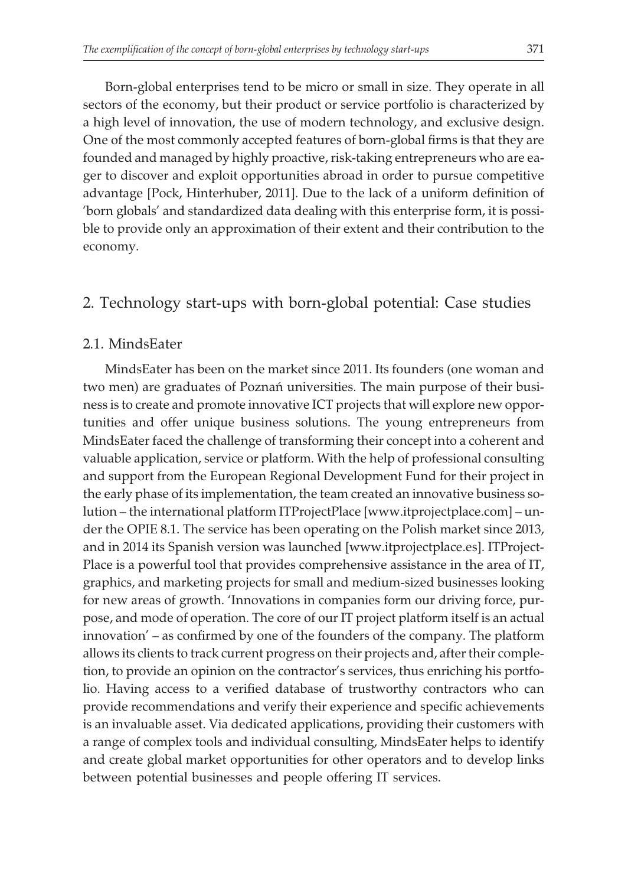Born-global enterprises tend to be micro or small in size. They operate in all sectors of the economy, but their product or service portfolio is characterized by a high level of innovation, the use of modern technology, and exclusive design. One of the most commonly accepted features of born-global firms is that they are founded and managed by highly proactive, risk-taking entrepreneurs who are eager to discover and exploit opportunities abroad in order to pursue competitive advantage [Pock, Hinterhuber, 2011]. Due to the lack of a uniform definition of 'born globals' and standardized data dealing with this enterprise form, it is possible to provide only an approximation of their extent and their contribution to the economy.

### 2. Technology start-ups with born-global potential: Case studies

#### 2.1. MindsEater

MindsEater has been on the market since 2011. Its founders (one woman and two men) are graduates of Poznañ universities. The main purpose of their business is to create and promote innovative ICT projects that will explore new opportunities and offer unique business solutions. The young entrepreneurs from MindsEater faced the challenge of transforming their concept into a coherent and valuable application, service or platform. With the help of professional consulting and support from the European Regional Development Fund for their project in the early phase of its implementation, the team created an innovative business solution – the international platform ITProjectPlace [www.itprojectplace.com] – under the OPIE 8.1. The service has been operating on the Polish market since 2013, and in 2014 its Spanish version was launched [www.itprojectplace.es]. ITProject-Place is a powerful tool that provides comprehensive assistance in the area of IT, graphics, and marketing projects for small and medium-sized businesses looking for new areas of growth. 'Innovations in companies form our driving force, purpose, and mode of operation. The core of our IT project platform itself is an actual innovation' – as confirmed by one of the founders of the company. The platform allows its clients to track current progress on their projects and, after their completion, to provide an opinion on the contractor's services, thus enriching his portfolio. Having access to a verified database of trustworthy contractors who can provide recommendations and verify their experience and specific achievements is an invaluable asset. Via dedicated applications, providing their customers with a range of complex tools and individual consulting, MindsEater helps to identify and create global market opportunities for other operators and to develop links between potential businesses and people offering IT services.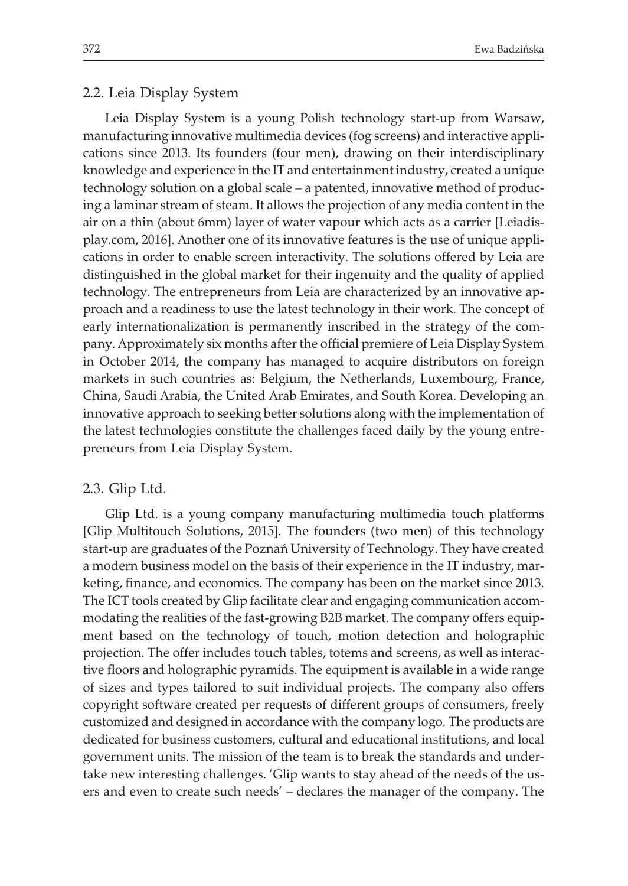#### 2.2. Leia Display System

Leia Display System is a young Polish technology start-up from Warsaw, manufacturing innovative multimedia devices (fog screens) and interactive applications since 2013. Its founders (four men), drawing on their interdisciplinary knowledge and experience in the IT and entertainment industry, created a unique technology solution on a global scale – a patented, innovative method of producing a laminar stream of steam. It allows the projection of any media content in the air on a thin (about 6mm) layer of water vapour which acts as a carrier [Leiadisplay.com, 2016]. Another one of its innovative features is the use of unique applications in order to enable screen interactivity. The solutions offered by Leia are distinguished in the global market for their ingenuity and the quality of applied technology. The entrepreneurs from Leia are characterized by an innovative approach and a readiness to use the latest technology in their work. The concept of early internationalization is permanently inscribed in the strategy of the company. Approximately six months after the official premiere of Leia Display System in October 2014, the company has managed to acquire distributors on foreign markets in such countries as: Belgium, the Netherlands, Luxembourg, France, China, Saudi Arabia, the United Arab Emirates, and South Korea. Developing an innovative approach to seeking better solutions along with the implementation of the latest technologies constitute the challenges faced daily by the young entrepreneurs from Leia Display System.

#### 2.3. Glip Ltd.

Glip Ltd. is a young company manufacturing multimedia touch platforms [Glip Multitouch Solutions, 2015]. The founders (two men) of this technology start-up are graduates of the Poznañ University of Technology. They have created a modern business model on the basis of their experience in the IT industry, marketing, finance, and economics. The company has been on the market since 2013. The ICT tools created by Glip facilitate clear and engaging communication accommodating the realities of the fast-growing B2B market. The company offers equipment based on the technology of touch, motion detection and holographic projection. The offer includes touch tables, totems and screens, as well as interactive floors and holographic pyramids. The equipment is available in a wide range of sizes and types tailored to suit individual projects. The company also offers copyright software created per requests of different groups of consumers, freely customized and designed in accordance with the company logo. The products are dedicated for business customers, cultural and educational institutions, and local government units. The mission of the team is to break the standards and undertake new interesting challenges. 'Glip wants to stay ahead of the needs of the users and even to create such needs' – declares the manager of the company. The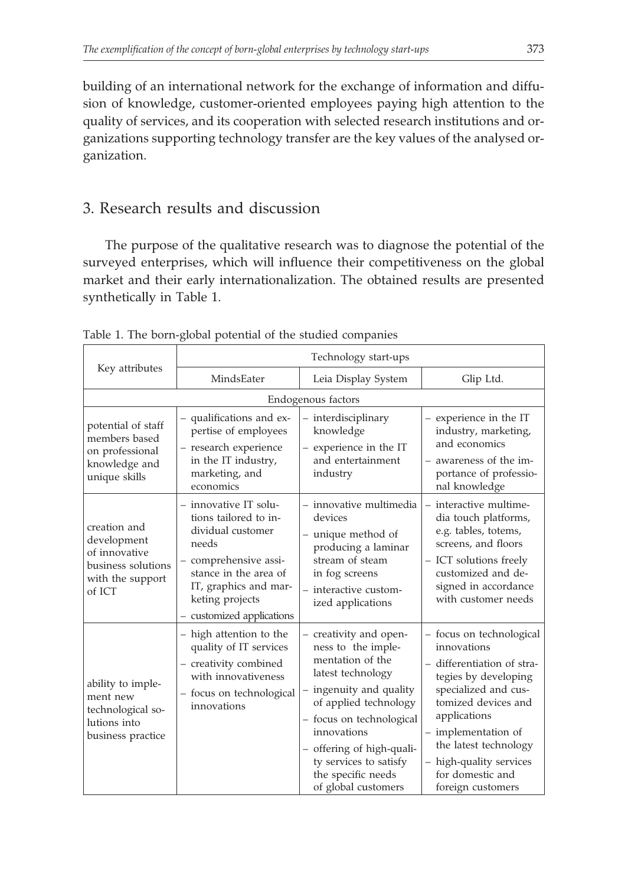building of an international network for the exchange of information and diffusion of knowledge, customer-oriented employees paying high attention to the quality of services, and its cooperation with selected research institutions and organizations supporting technology transfer are the key values of the analysed organization.

## 3. Research results and discussion

The purpose of the qualitative research was to diagnose the potential of the surveyed enterprises, which will influence their competitiveness on the global market and their early internationalization. The obtained results are presented synthetically in Table 1.

| Key attributes                                                                                   | Technology start-ups                                                                                                                                                                                    |                                                                                                                                                                                                                                                                                          |                                                                                                                                                                                                                                                                                  |  |
|--------------------------------------------------------------------------------------------------|---------------------------------------------------------------------------------------------------------------------------------------------------------------------------------------------------------|------------------------------------------------------------------------------------------------------------------------------------------------------------------------------------------------------------------------------------------------------------------------------------------|----------------------------------------------------------------------------------------------------------------------------------------------------------------------------------------------------------------------------------------------------------------------------------|--|
|                                                                                                  | MindsEater                                                                                                                                                                                              | Leia Display System                                                                                                                                                                                                                                                                      | Glip Ltd.                                                                                                                                                                                                                                                                        |  |
| Endogenous factors                                                                               |                                                                                                                                                                                                         |                                                                                                                                                                                                                                                                                          |                                                                                                                                                                                                                                                                                  |  |
| potential of staff<br>members based<br>on professional<br>knowledge and<br>unique skills         | - qualifications and ex-<br>pertise of employees<br>- research experience<br>in the IT industry,<br>marketing, and<br>economics                                                                         | - interdisciplinary<br>knowledge<br>- experience in the IT<br>and entertainment<br>industry                                                                                                                                                                                              | - experience in the IT<br>industry, marketing,<br>and economics<br>- awareness of the im-<br>portance of professio-<br>nal knowledge                                                                                                                                             |  |
| creation and<br>development<br>of innovative<br>business solutions<br>with the support<br>of ICT | - innovative IT solu-<br>tions tailored to in-<br>dividual customer<br>needs<br>- comprehensive assi-<br>stance in the area of<br>IT, graphics and mar-<br>keting projects<br>- customized applications | - innovative multimedia<br>devices<br>- unique method of<br>producing a laminar<br>stream of steam<br>in fog screens<br>- interactive custom-<br>ized applications                                                                                                                       | - interactive multime-<br>dia touch platforms,<br>e.g. tables, totems,<br>screens, and floors<br>- ICT solutions freely<br>customized and de-<br>signed in accordance<br>with customer needs                                                                                     |  |
| ability to imple-<br>ment new<br>technological so-<br>lutions into<br>business practice          | - high attention to the<br>quality of IT services<br>- creativity combined<br>with innovativeness<br>- focus on technological<br>innovations                                                            | - creativity and open-<br>ness to the imple-<br>mentation of the<br>latest technology<br>- ingenuity and quality<br>of applied technology<br>- focus on technological<br>innovations<br>- offering of high-quali-<br>ty services to satisfy<br>the specific needs<br>of global customers | - focus on technological<br>innovations<br>- differentiation of stra-<br>tegies by developing<br>specialized and cus-<br>tomized devices and<br>applications<br>- implementation of<br>the latest technology<br>- high-quality services<br>for domestic and<br>foreign customers |  |

Table 1. The born-global potential of the studied companies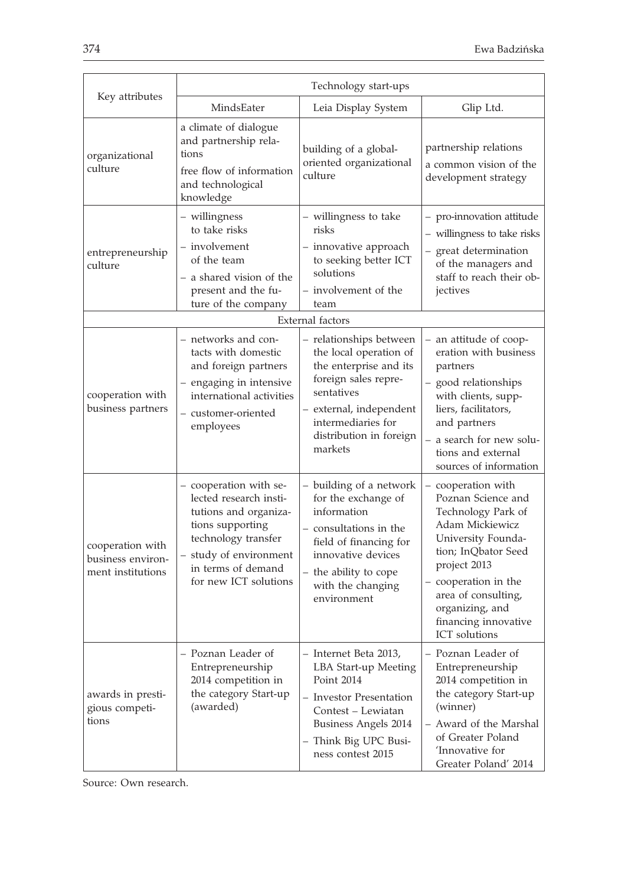| Key attributes                                             | Technology start-ups                                                                                                                                                                          |                                                                                                                                                                                                          |                                                                                                                                                                                                                                                           |  |
|------------------------------------------------------------|-----------------------------------------------------------------------------------------------------------------------------------------------------------------------------------------------|----------------------------------------------------------------------------------------------------------------------------------------------------------------------------------------------------------|-----------------------------------------------------------------------------------------------------------------------------------------------------------------------------------------------------------------------------------------------------------|--|
|                                                            | MindsEater                                                                                                                                                                                    | Leia Display System                                                                                                                                                                                      | Glip Ltd.                                                                                                                                                                                                                                                 |  |
| organizational<br>culture                                  | a climate of dialogue<br>and partnership rela-<br>tions<br>free flow of information<br>and technological<br>knowledge                                                                         | building of a global-<br>oriented organizational<br>culture                                                                                                                                              | partnership relations<br>a common vision of the<br>development strategy                                                                                                                                                                                   |  |
| entrepreneurship<br>culture                                | - willingness<br>to take risks<br>- involvement<br>of the team<br>- a shared vision of the<br>present and the fu-<br>ture of the company                                                      | - willingness to take<br>risks<br>- innovative approach<br>to seeking better ICT<br>solutions<br>- involvement of the<br>team                                                                            | - pro-innovation attitude<br>- willingness to take risks<br>- great determination<br>of the managers and<br>staff to reach their ob-<br>jectives                                                                                                          |  |
| External factors                                           |                                                                                                                                                                                               |                                                                                                                                                                                                          |                                                                                                                                                                                                                                                           |  |
| cooperation with<br>business partners                      | - networks and con-<br>tacts with domestic<br>and foreign partners<br>- engaging in intensive<br>international activities<br>- customer-oriented<br>employees                                 | - relationships between<br>the local operation of<br>the enterprise and its<br>foreign sales repre-<br>sentatives<br>- external, independent<br>intermediaries for<br>distribution in foreign<br>markets | - an attitude of coop-<br>eration with business<br>partners<br>- good relationships<br>with clients, supp-<br>liers, facilitators,<br>and partners<br>- a search for new solu-<br>tions and external<br>sources of information                            |  |
| cooperation with<br>business environ-<br>ment institutions | - cooperation with se-<br>lected research insti-<br>tutions and organiza-<br>tions supporting<br>technology transfer<br>- study of environment<br>in terms of demand<br>for new ICT solutions | - building of a network<br>for the exchange of<br>information<br>- consultations in the<br>field of financing for<br>innovative devices<br>- the ability to cope<br>with the changing<br>environment     | – cooperation with<br>Poznan Science and<br>Technology Park of<br>Adam Mickiewicz<br>University Founda-<br>tion; InQbator Seed<br>project 2013<br>- cooperation in the<br>area of consulting,<br>organizing, and<br>financing innovative<br>ICT solutions |  |
| awards in presti-<br>gious competi-<br>tions               | Poznan Leader of<br>Entrepreneurship<br>2014 competition in<br>the category Start-up<br>(awarded)                                                                                             | Internet Beta 2013,<br>LBA Start-up Meeting<br>Point 2014<br>- Investor Presentation<br>Contest - Lewiatan<br>Business Angels 2014<br>- Think Big UPC Busi-<br>ness contest 2015                         | Poznan Leader of<br>Entrepreneurship<br>2014 competition in<br>the category Start-up<br>(winner)<br>- Award of the Marshal<br>of Greater Poland<br>'Innovative for<br>Greater Poland' 2014                                                                |  |

Source: Own research.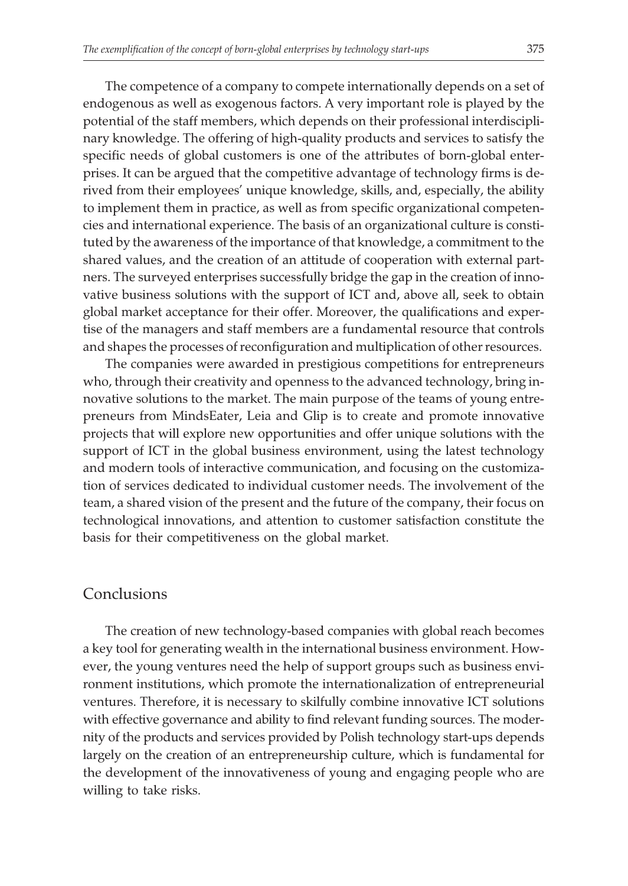The competence of a company to compete internationally depends on a set of endogenous as well as exogenous factors. A very important role is played by the potential of the staff members, which depends on their professional interdisciplinary knowledge. The offering of high-quality products and services to satisfy the specific needs of global customers is one of the attributes of born-global enterprises. It can be argued that the competitive advantage of technology firms is derived from their employees' unique knowledge, skills, and, especially, the ability to implement them in practice, as well as from specific organizational competencies and international experience. The basis of an organizational culture is constituted by the awareness of the importance of that knowledge, a commitment to the shared values, and the creation of an attitude of cooperation with external partners. The surveyed enterprises successfully bridge the gap in the creation of innovative business solutions with the support of ICT and, above all, seek to obtain global market acceptance for their offer. Moreover, the qualifications and expertise of the managers and staff members are a fundamental resource that controls and shapes the processes of reconfiguration and multiplication of other resources.

The companies were awarded in prestigious competitions for entrepreneurs who, through their creativity and openness to the advanced technology, bring innovative solutions to the market. The main purpose of the teams of young entrepreneurs from MindsEater, Leia and Glip is to create and promote innovative projects that will explore new opportunities and offer unique solutions with the support of ICT in the global business environment, using the latest technology and modern tools of interactive communication, and focusing on the customization of services dedicated to individual customer needs. The involvement of the team, a shared vision of the present and the future of the company, their focus on technological innovations, and attention to customer satisfaction constitute the basis for their competitiveness on the global market.

#### Conclusions

The creation of new technology-based companies with global reach becomes a key tool for generating wealth in the international business environment. However, the young ventures need the help of support groups such as business environment institutions, which promote the internationalization of entrepreneurial ventures. Therefore, it is necessary to skilfully combine innovative ICT solutions with effective governance and ability to find relevant funding sources. The modernity of the products and services provided by Polish technology start-ups depends largely on the creation of an entrepreneurship culture, which is fundamental for the development of the innovativeness of young and engaging people who are willing to take risks.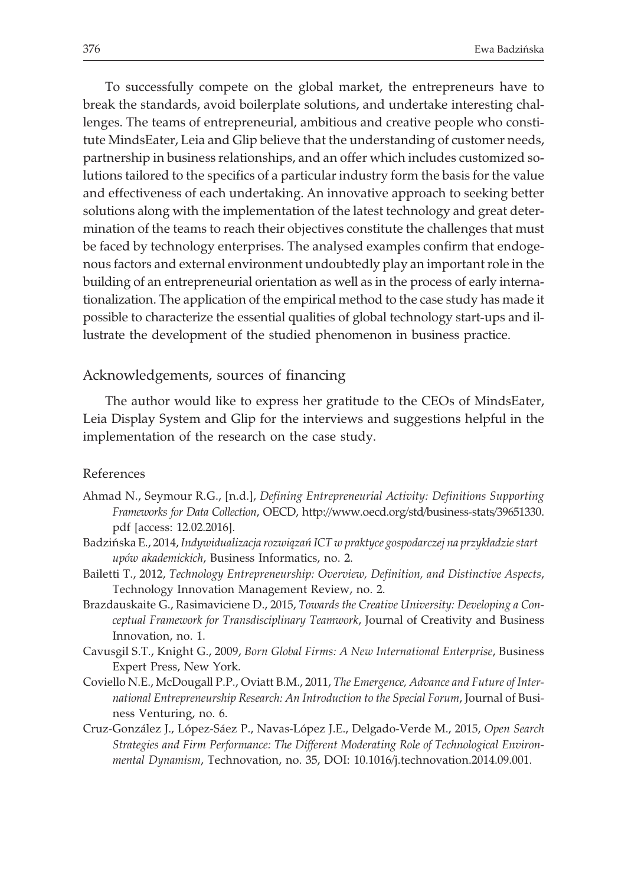To successfully compete on the global market, the entrepreneurs have to break the standards, avoid boilerplate solutions, and undertake interesting challenges. The teams of entrepreneurial, ambitious and creative people who constitute MindsEater, Leia and Glip believe that the understanding of customer needs, partnership in business relationships, and an offer which includes customized solutions tailored to the specifics of a particular industry form the basis for the value and effectiveness of each undertaking. An innovative approach to seeking better solutions along with the implementation of the latest technology and great determination of the teams to reach their objectives constitute the challenges that must be faced by technology enterprises. The analysed examples confirm that endogenous factors and external environment undoubtedly play an important role in the building of an entrepreneurial orientation as well as in the process of early internationalization. The application of the empirical method to the case study has made it possible to characterize the essential qualities of global technology start-ups and illustrate the development of the studied phenomenon in business practice.

#### Acknowledgements, sources of financing

The author would like to express her gratitude to the CEOs of MindsEater, Leia Display System and Glip for the interviews and suggestions helpful in the implementation of the research on the case study.

#### References

- Ahmad N., Seymour R.G., [n.d.], *Defining Entrepreneurial Activity: Definitions Supporting Frameworks for Data Collection*, OECD, http://www.oecd.org/std/business-stats/39651330. pdf [access: 12.02.2016].
- Badzińska E., 2014, *Indywidualizacja rozwiązań ICT w praktyce gospodarczej na przykładzie start upów akademickich*, Business Informatics, no. 2.
- Bailetti T., 2012, *Technology Entrepreneurship: Overview, Definition, and Distinctive Aspects*, Technology Innovation Management Review, no. 2.
- Brazdauskaite G., Rasimaviciene D., 2015, *Towards the Creative University: Developing a Conceptual Framework for Transdisciplinary Teamwork*, Journal of Creativity and Business Innovation, no. 1.
- Cavusgil S.T., Knight G., 2009, *Born Global Firms: A New International Enterprise*, Business Expert Press, New York.
- Coviello N.E., McDougall P.P., Oviatt B.M., 2011, *The Emergence, Advance and Future of International Entrepreneurship Research: An Introduction to the Special Forum*, Journal of Business Venturing, no. 6.
- Cruz-González J., López-Sáez P., Navas-López J.E., Delgado-Verde M., 2015, *Open Search Strategies and Firm Performance: The Different Moderating Role of Technological Environmental Dynamism*, Technovation, no. 35, DOI: 10.1016/j.technovation.2014.09.001.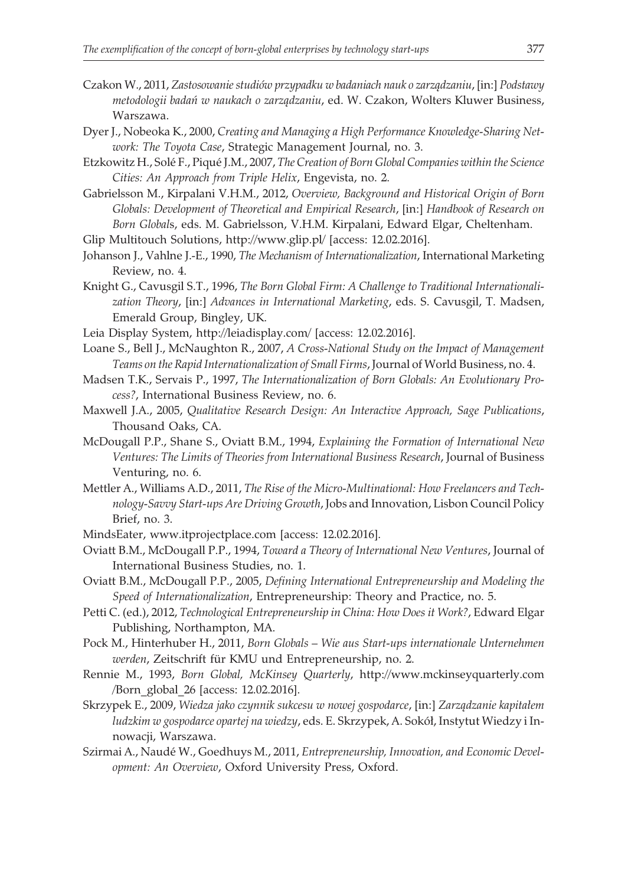- Czakon W., 2011, *Zastosowanie studiów przypadku w badaniach nauk o zarz¹dzaniu*, [in:] *Podstawy metodologii badañ w naukach o zarz¹dzaniu*, ed. W. Czakon, Wolters Kluwer Business, Warszawa.
- Dyer J., Nobeoka K., 2000, *Creating and Managing a High Performance Knowledge-Sharing Network: The Toyota Case*, Strategic Management Journal, no. 3.
- Etzkowitz H., Solé F., Piqué J.M., 2007, *The Creation of Born Global Companies within the Science Cities: An Approach from Triple Helix*, Engevista, no. 2.
- Gabrielsson M., Kirpalani V.H.M., 2012, *Overview, Background and Historical Origin of Born Globals: Development of Theoretical and Empirical Research*, [in:] *Handbook of Research on Born Global*s, eds. M. Gabrielsson, V.H.M. Kirpalani, Edward Elgar, Cheltenham.
- Glip Multitouch Solutions, http://www.glip.pl/ [access: 12.02.2016].
- Johanson J., Vahlne J.-E., 1990, *The Mechanism of Internationalization*, International Marketing Review, no. 4.
- Knight G., Cavusgil S.T., 1996, *The Born Global Firm: A Challenge to Traditional Internationalization Theory*, [in:] *Advances in International Marketing*, eds. S. Cavusgil, T. Madsen, Emerald Group, Bingley, UK.
- Leia Display System, http://leiadisplay.com/ [access: 12.02.2016].
- Loane S., Bell J., McNaughton R., 2007, *A Cross-National Study on the Impact of Management Teams on the Rapid Internationalization of Small Firms*, Journal of World Business, no. 4.
- Madsen T.K., Servais P., 1997, *The Internationalization of Born Globals: An Evolutionary Process?*, International Business Review, no. 6.
- Maxwell J.A., 2005, *Qualitative Research Design: An Interactive Approach, Sage Publications*, Thousand Oaks, CA.
- McDougall P.P., Shane S., Oviatt B.M., 1994, *Explaining the Formation of International New Ventures: The Limits of Theories from International Business Research*, Journal of Business Venturing, no. 6.
- Mettler A., Williams A.D., 2011, *The Rise of the Micro-Multinational: How Freelancers and Technology-Savvy Start-ups Are Driving Growth*, Jobs and Innovation, Lisbon Council Policy Brief, no. 3.
- MindsEater, www.itprojectplace.com [access: 12.02.2016].
- Oviatt B.M., McDougall P.P., 1994, *Toward a Theory of International New Ventures*, Journal of International Business Studies, no. 1.
- Oviatt B.M., McDougall P.P., 2005, *Defining International Entrepreneurship and Modeling the Speed of Internationalization*, Entrepreneurship: Theory and Practice, no. 5.
- Petti C. (ed.), 2012, *Technological Entrepreneurship in China: How Does it Work?*, Edward Elgar Publishing, Northampton, MA.
- Pock M., Hinterhuber H., 2011, *Born Globals Wie aus Start-ups internationale Unternehmen werden*, Zeitschrift für KMU und Entrepreneurship, no. 2.
- Rennie M., 1993, *Born Global, McKinsey Quarterly*, http://www.mckinseyquarterly.com /Born\_global\_26 [access: 12.02.2016].
- Skrzypek E., 2009, *Wiedza jako czynnik sukcesu w nowej gospodarce*, [in:] *Zarządzanie kapitałem ludzkim w gospodarce opartej na wiedzy*, eds. E. Skrzypek, A. Sokó³, Instytut Wiedzy i Innowacji, Warszawa.
- Szirmai A., Naudé W., Goedhuys M., 2011, *Entrepreneurship, Innovation, and Economic Development: An Overview*, Oxford University Press, Oxford.